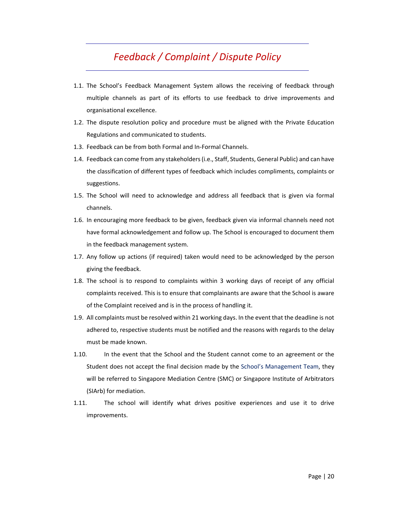## *Feedback / Complaint / Dispute Policy*

- 1.1. The School's Feedback Management System allows the receiving of feedback through multiple channels as part of its efforts to use feedback to drive improvements and organisational excellence.
- 1.2. The dispute resolution policy and procedure must be aligned with the Private Education Regulations and communicated to students.
- 1.3. Feedback can be from both Formal and In‐Formal Channels.
- 1.4. Feedback can come from any stakeholders (i.e., Staff, Students, General Public) and can have the classification of different types of feedback which includes compliments, complaints or suggestions.
- 1.5. The School will need to acknowledge and address all feedback that is given via formal channels.
- 1.6. In encouraging more feedback to be given, feedback given via informal channels need not have formal acknowledgement and follow up. The School is encouraged to document them in the feedback management system.
- 1.7. Any follow up actions (if required) taken would need to be acknowledged by the person giving the feedback.
- 1.8. The school is to respond to complaints within 3 working days of receipt of any official complaints received. This is to ensure that complainants are aware that the School is aware of the Complaint received and is in the process of handling it.
- 1.9. All complaints must be resolved within 21 working days. In the event that the deadline is not adhered to, respective students must be notified and the reasons with regards to the delay must be made known.
- 1.10. In the event that the School and the Student cannot come to an agreement or the Student does not accept the final decision made by the School's Management Team, they will be referred to Singapore Mediation Centre (SMC) or Singapore Institute of Arbitrators (SIArb) for mediation.
- 1.11. The school will identify what drives positive experiences and use it to drive improvements.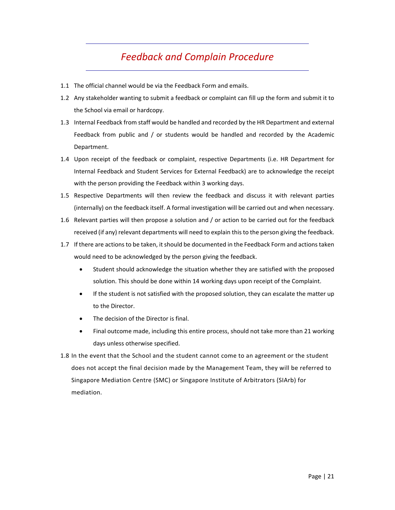## *Feedback and Complain Procedure*

- 1.1 The official channel would be via the Feedback Form and emails.
- 1.2 Any stakeholder wanting to submit a feedback or complaint can fill up the form and submit it to the School via email or hardcopy.
- 1.3 Internal Feedback from staff would be handled and recorded by the HR Department and external Feedback from public and / or students would be handled and recorded by the Academic Department.
- 1.4 Upon receipt of the feedback or complaint, respective Departments (i.e. HR Department for Internal Feedback and Student Services for External Feedback) are to acknowledge the receipt with the person providing the Feedback within 3 working days.
- 1.5 Respective Departments will then review the feedback and discuss it with relevant parties (internally) on the feedback itself. A formal investigation will be carried out and when necessary.
- 1.6 Relevant parties will then propose a solution and / or action to be carried out for the feedback received (if any) relevant departments will need to explain this to the person giving the feedback.
- 1.7 If there are actions to be taken, it should be documented in the Feedback Form and actions taken would need to be acknowledged by the person giving the feedback.
	- Student should acknowledge the situation whether they are satisfied with the proposed solution. This should be done within 14 working days upon receipt of the Complaint.
	- If the student is not satisfied with the proposed solution, they can escalate the matter up to the Director.
	- The decision of the Director is final.
	- Final outcome made, including this entire process, should not take more than 21 working days unless otherwise specified.
- 1.8 In the event that the School and the student cannot come to an agreement or the student does not accept the final decision made by the Management Team, they will be referred to Singapore Mediation Centre (SMC) or Singapore Institute of Arbitrators (SIArb) for mediation.